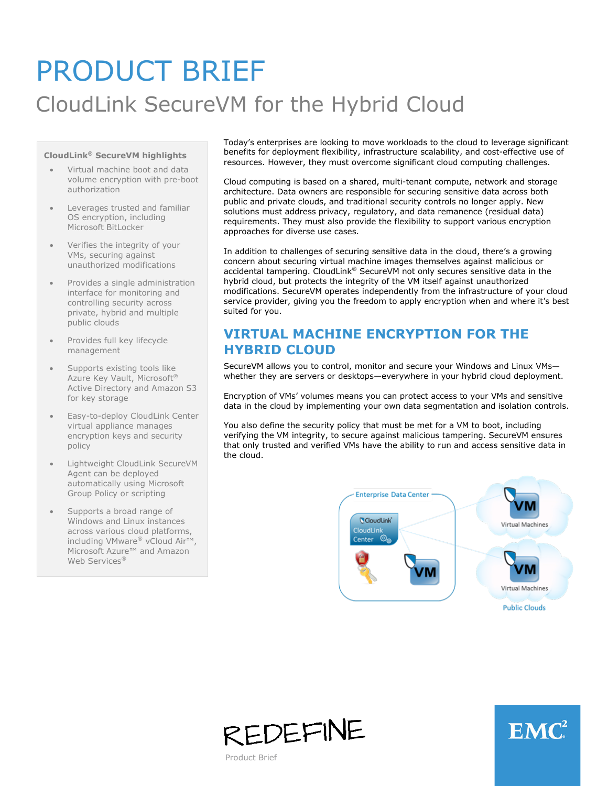# PRODUCT BRIEF CloudLink SecureVM for the Hybrid Cloud

#### **CloudLink® SecureVM highlights**

- Virtual machine boot and data volume encryption with pre-boot authorization
- Leverages trusted and familiar OS encryption, including Microsoft BitLocker
- Verifies the integrity of your VMs, securing against unauthorized modifications
- Provides a single administration interface for monitoring and controlling security across private, hybrid and multiple public clouds
- Provides full key lifecycle management
- Supports existing tools like Azure Key Vault, Microsoft® Active Directory and Amazon S3 for key storage
- Easy-to-deploy CloudLink Center virtual appliance manages encryption keys and security policy
- Lightweight CloudLink SecureVM Agent can be deployed automatically using Microsoft Group Policy or scripting
- Supports a broad range of Windows and Linux instances across various cloud platforms, including VMware® vCloud Air™, Microsoft Azure™ and Amazon Web Services<sup>®</sup>

Today's enterprises are looking to move workloads to the cloud to leverage significant benefits for deployment flexibility, infrastructure scalability, and cost-effective use of resources. However, they must overcome significant cloud computing challenges.

Cloud computing is based on a shared, multi-tenant compute, network and storage architecture. Data owners are responsible for securing sensitive data across both public and private clouds, and traditional security controls no longer apply. New solutions must address privacy, regulatory, and data remanence (residual data) requirements. They must also provide the flexibility to support various encryption approaches for diverse use cases.

In addition to challenges of securing sensitive data in the cloud, there's a growing concern about securing virtual machine images themselves against malicious or accidental tampering. CloudLink® SecureVM not only secures sensitive data in the hybrid cloud, but protects the integrity of the VM itself against unauthorized modifications. SecureVM operates independently from the infrastructure of your cloud service provider, giving you the freedom to apply encryption when and where it's best suited for you.

### **VIRTUAL MACHINE ENCRYPTION FOR THE HYBRID CLOUD**

SecureVM allows you to control, monitor and secure your Windows and Linux VMs whether they are servers or desktops—everywhere in your hybrid cloud deployment.

Encryption of VMs' volumes means you can protect access to your VMs and sensitive data in the cloud by implementing your own data segmentation and isolation controls.

You also define the security policy that must be met for a VM to boot, including verifying the VM integrity, to secure against malicious tampering. SecureVM ensures that only trusted and verified VMs have the ability to run and access sensitive data in the cloud.







Product Brief